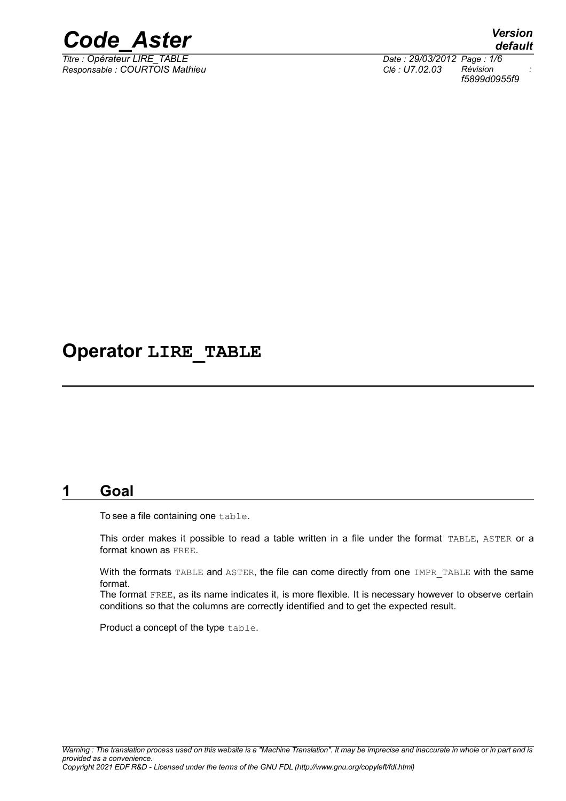

*Titre : Opérateur LIRE\_TABLE Date : 29/03/2012 Page : 1/6 Responsable : COURTOIS Mathieu Clé : U7.02.03 Révision :*

*default f5899d0955f9*

# **Operator LIRE\_TABLE**

## **1 Goal**

To see a file containing one table.

This order makes it possible to read a table written in a file under the format TABLE, ASTER or a format known as FREE.

With the formats TABLE and ASTER, the file can come directly from one IMPR TABLE with the same format.

The format FREE, as its name indicates it, is more flexible. It is necessary however to observe certain conditions so that the columns are correctly identified and to get the expected result.

Product a concept of the type table.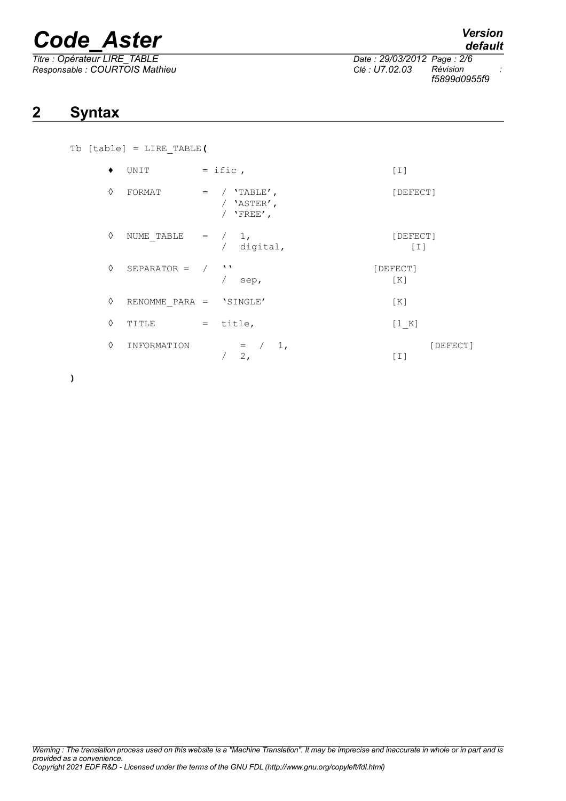# *Code\_Aster Version*

*Titre : Opérateur LIRE\_TABLE Date : 29/03/2012 Page : 2/6 Responsable : COURTOIS Mathieu Clé : U7.02.03 Révision :*

# **2 Syntax**

| Tb $[table] = LINE TABLE$ |  |  |
|---------------------------|--|--|
|                           |  |  |

|   | UNIT            |     | $=$ ific,                                     | [I]               |          |
|---|-----------------|-----|-----------------------------------------------|-------------------|----------|
| ♦ | FORMAT          | $=$ | / $'$ TABLE',<br>/ 'ASTER',<br>$'$ FREE $'$ , | [DEFECT]          |          |
| ♦ | NUME TABLE      |     | 1,<br>$=$ /<br>digital,                       | [DEFECT]<br>$[1]$ |          |
| ♦ | $SEPARATOR = /$ |     | <b>1</b> 1<br>sep,                            | [DEFECT]<br>[K]   |          |
| ♦ | RENOMME PARA =  |     | 'SINGLE'                                      | [K]               |          |
| ♦ | TITLE           | $=$ | title,                                        | [1 K]             |          |
| ♦ | INFORMATION     |     | 1,<br>$=$ /<br>2,                             | [I]               | [DEFECT] |

**)**

*default*

*f5899d0955f9*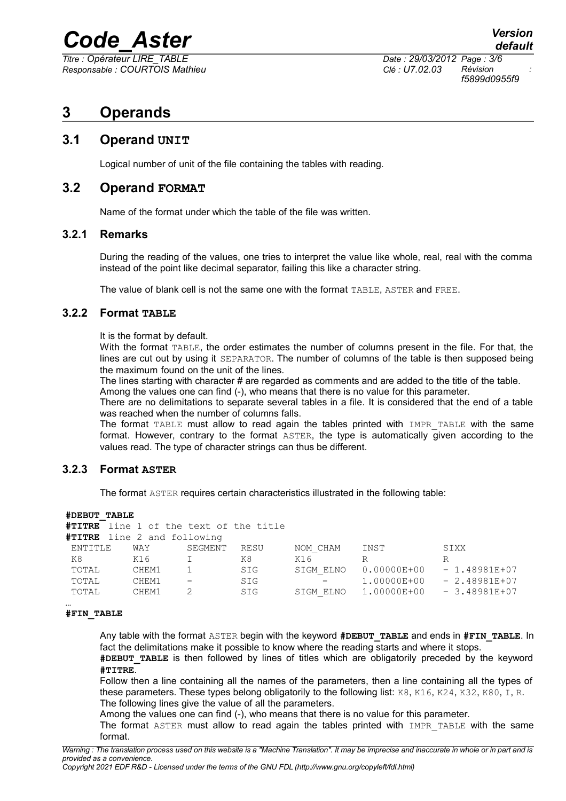# *Code\_Aster Version*

*Titre : Opérateur LIRE\_TABLE Date : 29/03/2012 Page : 3/6 Responsable : COURTOIS Mathieu Clé : U7.02.03 Révision :*

*f5899d0955f9*

# **3 Operands**

### **3.1 Operand UNIT**

Logical number of unit of the file containing the tables with reading.

### **3.2 Operand FORMAT**

Name of the format under which the table of the file was written.

### **3.2.1 Remarks**

During the reading of the values, one tries to interpret the value like whole, real, real with the comma instead of the point like decimal separator, failing this like a character string.

The value of blank cell is not the same one with the format TABLE, ASTER and FREE.

### **3.2.2 Format TABLE**

It is the format by default.

With the format TABLE, the order estimates the number of columns present in the file. For that, the lines are cut out by using it SEPARATOR. The number of columns of the table is then supposed being the maximum found on the unit of the lines.

The lines starting with character # are regarded as comments and are added to the title of the table. Among the values one can find (-), who means that there is no value for this parameter.

There are no delimitations to separate several tables in a file. It is considered that the end of a table was reached when the number of columns falls.

The format TABLE must allow to read again the tables printed with IMPR\_TABLE with the same format. However, contrary to the format ASTER, the type is automatically given according to the values read. The type of character strings can thus be different.

### **3.2.3 Format ASTER**

The format ASTER requires certain characteristics illustrated in the following table:

#### **#DEBUT\_TABLE**

```
#TITRE line 1 of the text of the title
#TITRE line 2 and following
```

| ENTITLE | WAY   | SEGMENT                  | RESU | NOM CHAM                 | INST            | SIXX           |
|---------|-------|--------------------------|------|--------------------------|-----------------|----------------|
| K8      | K16   |                          | K8   | K16                      | R               |                |
| TOTAL   | CHEM1 |                          | SIG  | SIGM ELNO                | $0.00000E + 00$ | $-1.48981E+07$ |
| TOTAL   | CHEM1 | $\overline{\phantom{m}}$ | SIG  | $\overline{\phantom{m}}$ | 1.00000E+00     | $-2.48981E+07$ |
| TOTAL   | CHEM1 |                          | SIG  | SIGM ELNO                | 1.00000E+00     | $-3.48981E+07$ |
|         |       |                          |      |                          |                 |                |
|         |       |                          |      |                          |                 |                |

#### **#FIN\_TABLE**

Any table with the format ASTER begin with the keyword **#DEBUT\_TABLE** and ends in **#FIN\_TABLE**. In fact the delimitations make it possible to know where the reading starts and where it stops. **#DEBUT\_TABLE** is then followed by lines of titles which are obligatorily preceded by the keyword

**#TITRE**.

Follow then a line containing all the names of the parameters, then a line containing all the types of these parameters. These types belong obligatorily to the following list: K8, K16, K24, K32, K80, I, R. The following lines give the value of all the parameters.

Among the values one can find (-), who means that there is no value for this parameter.

The format ASTER must allow to read again the tables printed with IMPR TABLE with the same format.

*Copyright 2021 EDF R&D - Licensed under the terms of the GNU FDL (http://www.gnu.org/copyleft/fdl.html)*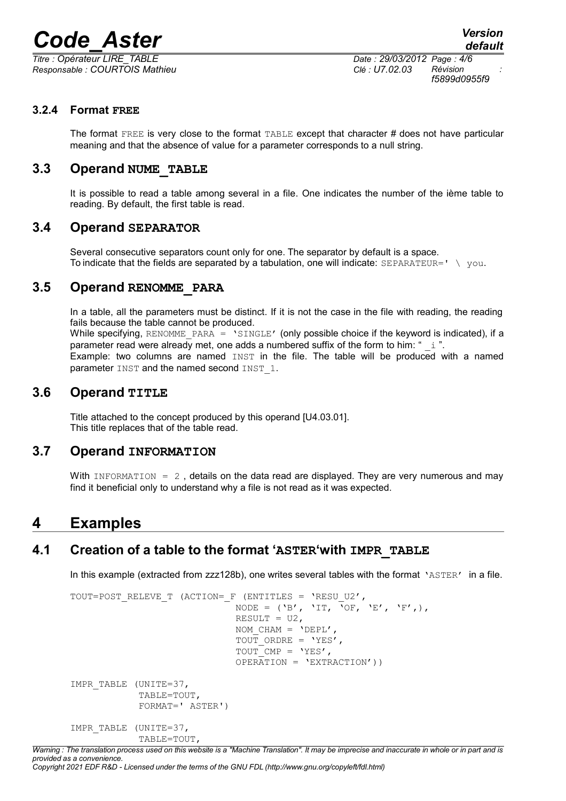# *Code\_Aster Version*

*Titre : Opérateur LIRE\_TABLE Date : 29/03/2012 Page : 4/6 Responsable : COURTOIS Mathieu Clé : U7.02.03 Révision :*

*f5899d0955f9*

### **3.2.4 Format FREE**

The format FREE is very close to the format TABLE except that character # does not have particular meaning and that the absence of value for a parameter corresponds to a null string.

### **3.3 Operand NUME\_TABLE**

It is possible to read a table among several in a file. One indicates the number of the ième table to reading. By default, the first table is read.

### **3.4 Operand SEPARATOR**

Several consecutive separators count only for one. The separator by default is a space. To indicate that the fields are separated by a tabulation, one will indicate:  $SEPARATEUR = ' \ \}$  you.

### **3.5 Operand RENOMME\_PARA**

In a table, all the parameters must be distinct. If it is not the case in the file with reading, the reading fails because the table cannot be produced. While specifying, RENOMME PARA =  $\text{``SINGLE'}$  (only possible choice if the keyword is indicated), if a parameter read were already met, one adds a numbered suffix of the form to him: " $\pm$ ".

Example: two columns are named INST in the file. The table will be produced with a named parameter INST and the named second INST 1.

### **3.6 Operand TITLE**

Title attached to the concept produced by this operand [U4.03.01]. This title replaces that of the table read.

### **3.7 Operand INFORMATION**

With INFORMATION =  $2$ , details on the data read are displayed. They are very numerous and may find it beneficial only to understand why a file is not read as it was expected.

## **4 Examples**

### **4.1 Creation of a table to the format 'ASTER'with IMPR\_TABLE**

In this example (extracted from zzz128b), one writes several tables with the format 'ASTER' in a file.

```
TOUT=POST_RELEVE_T (ACTION=_F (ENTITLES = 'RESU_U2',
                                  NODE = (\nabla B', \nabla T, \nabla O F, \nabla E', \nabla F', \nabla F'RESULT = U2,
                                  NOM CHAM = 'DEFL',
                                  TOUT ORDRE = 'YES',
                                  TOUT CMP = 'YES',
                                  OPERATION = 'EXTRACTION')IMPR_TABLE (UNITE=37,
               TABLE=TOUT,
               FORMAT=' ASTER')
IMPR_TABLE (UNITE=37,
               TABLE=TOUT,
```
*Warning : The translation process used on this website is a "Machine Translation". It may be imprecise and inaccurate in whole or in part and is provided as a convenience.*

#### *Copyright 2021 EDF R&D - Licensed under the terms of the GNU FDL (http://www.gnu.org/copyleft/fdl.html)*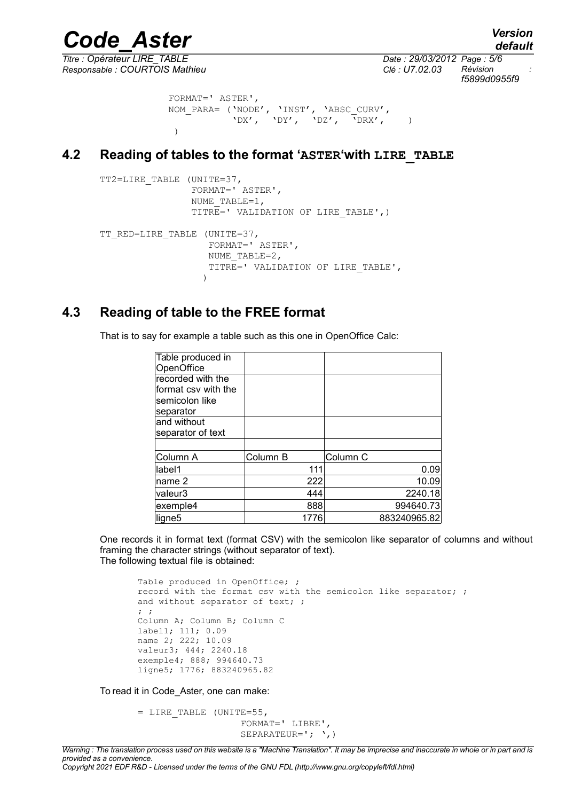*Titre : Opérateur LIRE\_TABLE Date : 29/03/2012 Page : 5/6 Responsable : COURTOIS Mathieu Clé : U7.02.03 Révision :*

*Code\_Aster Version default f5899d0955f9*

```
 FORMAT=' ASTER',
           NOM_PARA= ('NODE', 'INST', 'ABSC_CURV',
                   'DX', 'DY', 'DZ', 'DRX', )
)
```
### **4.2 Reading of tables to the format 'ASTER'with LIRE\_TABLE**

```
TT2=LIRE_TABLE (UNITE=37,
                FORMAT=' ASTER',
               NUME TABLE=1,
               TITRE=' VALIDATION OF LIRE TABLE',)
TT_RED=LIRE_TABLE (UNITE=37,
                   FORMAT=' ASTER',
                  NUME TABLE=2,
                  TITRE=' VALIDATION OF LIRE TABLE',
 )
```
### **4.3 Reading of table to the FREE format**

That is to say for example a table such as this one in OpenOffice Calc:

| Table produced in   |          |                     |
|---------------------|----------|---------------------|
| OpenOffice          |          |                     |
| recorded with the   |          |                     |
| format csy with the |          |                     |
| semicolon like      |          |                     |
| separator           |          |                     |
| and without         |          |                     |
| separator of text   |          |                     |
|                     |          |                     |
| Column A            | Column B | Column <sub>C</sub> |
| label1              | 111      | 0.09                |
| name 2              | 222      | 10.09               |
| valeur3             | 444      | 2240.18             |
| exemple4            | 888      | 994640.73           |
| ligne <sub>5</sub>  | 1776     | 883240965.82        |

One records it in format text (format CSV) with the semicolon like separator of columns and without framing the character strings (without separator of text). The following textual file is obtained:

Table produced in OpenOffice; ; record with the format csv with the semicolon like separator; ; and without separator of text; ; ; ; Column A; Column B; Column C label1; 111; 0.09 name 2; 222; 10.09 valeur3; 444; 2240.18 exemple4; 888; 994640.73 ligne5; 1776; 883240965.82

To read it in Code\_Aster, one can make:

= LIRE\_TABLE (UNITE=55, FORMAT=' LIBRE', SEPARATEUR='; ', )